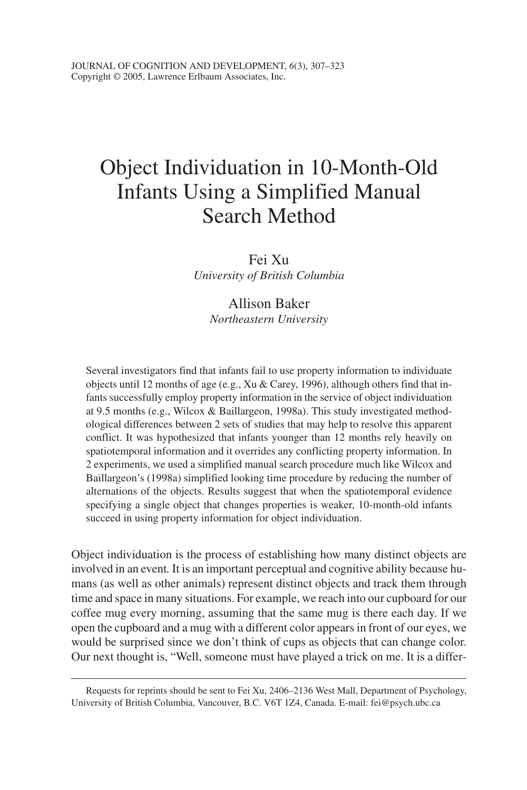# Object Individuation in 10-Month-Old Infants Using a Simplified Manual Search Method

Fei Xu *University of British Columbia*

> Allison Baker *Northeastern University*

Several investigators find that infants fail to use property information to individuate objects until 12 months of age (e.g., Xu & Carey, 1996), although others find that infants successfully employ property information in the service of object individuation at 9.5 months (e.g., Wilcox & Baillargeon, 1998a). This study investigated methodological differences between 2 sets of studies that may help to resolve this apparent conflict. It was hypothesized that infants younger than 12 months rely heavily on spatiotemporal information and it overrides any conflicting property information. In 2 experiments, we used a simplified manual search procedure much like Wilcox and Baillargeon's (1998a) simplified looking time procedure by reducing the number of alternations of the objects. Results suggest that when the spatiotemporal evidence specifying a single object that changes properties is weaker, 10-month-old infants succeed in using property information for object individuation.

Object individuation is the process of establishing how many distinct objects are involved in an event*.* It is an important perceptual and cognitive ability because humans (as well as other animals) represent distinct objects and track them through time and space in many situations. For example, we reach into our cupboard for our coffee mug every morning, assuming that the same mug is there each day. If we open the cupboard and a mug with a different color appears in front of our eyes, we would be surprised since we don't think of cups as objects that can change color. Our next thought is, "Well, someone must have played a trick on me. It is a differ-

Requests for reprints should be sent to Fei Xu, 2406–2136 West Mall, Department of Psychology, University of British Columbia, Vancouver, B.C. V6T 1Z4, Canada. E-mail: fei@psych.ubc.ca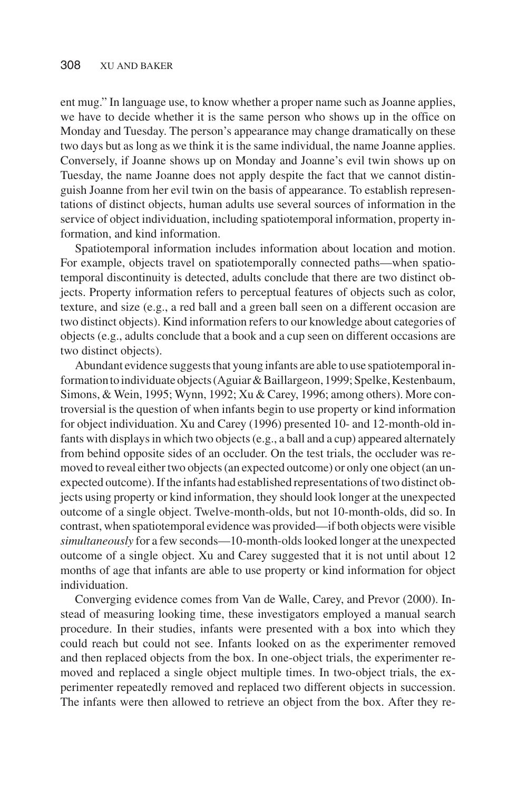ent mug." In language use, to know whether a proper name such as Joanne applies, we have to decide whether it is the same person who shows up in the office on Monday and Tuesday. The person's appearance may change dramatically on these two days but as long as we think it is the same individual, the name Joanne applies. Conversely, if Joanne shows up on Monday and Joanne's evil twin shows up on Tuesday, the name Joanne does not apply despite the fact that we cannot distinguish Joanne from her evil twin on the basis of appearance. To establish representations of distinct objects, human adults use several sources of information in the service of object individuation, including spatiotemporal information, property information, and kind information.

Spatiotemporal information includes information about location and motion. For example, objects travel on spatiotemporally connected paths—when spatiotemporal discontinuity is detected, adults conclude that there are two distinct objects. Property information refers to perceptual features of objects such as color, texture, and size (e.g., a red ball and a green ball seen on a different occasion are two distinct objects). Kind information refers to our knowledge about categories of objects (e.g., adults conclude that a book and a cup seen on different occasions are two distinct objects).

Abundant evidence suggests that young infants are able to use spatiotemporal information to individuate objects (Aguiar & Baillargeon, 1999; Spelke, Kestenbaum, Simons, & Wein, 1995; Wynn, 1992; Xu & Carey, 1996; among others). More controversial is the question of when infants begin to use property or kind information for object individuation. Xu and Carey (1996) presented 10- and 12-month-old infants with displays in which two objects (e.g., a ball and a cup) appeared alternately from behind opposite sides of an occluder. On the test trials, the occluder was removed to reveal either two objects (an expected outcome) or only one object (an unexpected outcome). If the infants had established representations of two distinct objects using property or kind information, they should look longer at the unexpected outcome of a single object. Twelve-month-olds, but not 10-month-olds, did so. In contrast, when spatiotemporal evidence was provided—if both objects were visible *simultaneously* for a few seconds—10-month-olds looked longer at the unexpected outcome of a single object. Xu and Carey suggested that it is not until about 12 months of age that infants are able to use property or kind information for object individuation.

Converging evidence comes from Van de Walle, Carey, and Prevor (2000). Instead of measuring looking time, these investigators employed a manual search procedure. In their studies, infants were presented with a box into which they could reach but could not see. Infants looked on as the experimenter removed and then replaced objects from the box. In one-object trials, the experimenter removed and replaced a single object multiple times. In two-object trials, the experimenter repeatedly removed and replaced two different objects in succession. The infants were then allowed to retrieve an object from the box. After they re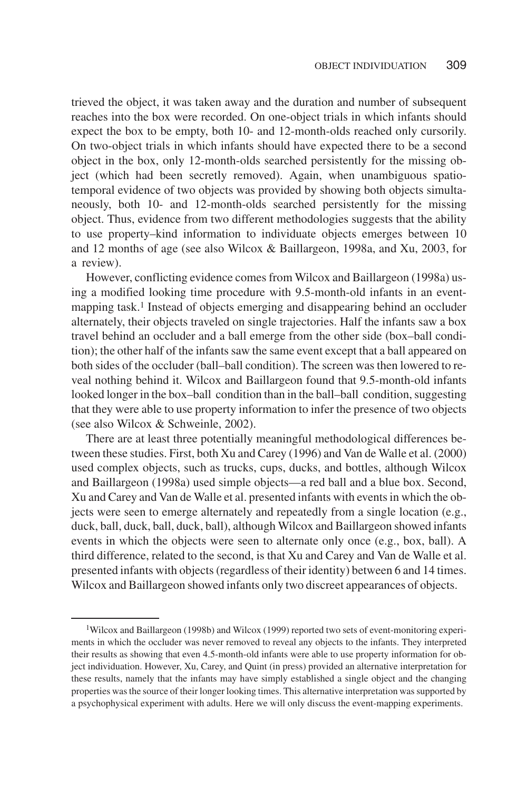trieved the object, it was taken away and the duration and number of subsequent reaches into the box were recorded. On one-object trials in which infants should expect the box to be empty, both 10- and 12-month-olds reached only cursorily. On two-object trials in which infants should have expected there to be a second object in the box, only 12-month-olds searched persistently for the missing object (which had been secretly removed). Again, when unambiguous spatiotemporal evidence of two objects was provided by showing both objects simultaneously, both 10- and 12-month-olds searched persistently for the missing object. Thus, evidence from two different methodologies suggests that the ability to use property–kind information to individuate objects emerges between 10 and 12 months of age (see also Wilcox & Baillargeon, 1998a, and Xu, 2003, for a review).

However, conflicting evidence comes from Wilcox and Baillargeon (1998a) using a modified looking time procedure with 9.5-month-old infants in an eventmapping task.<sup>1</sup> Instead of objects emerging and disappearing behind an occluder alternately, their objects traveled on single trajectories. Half the infants saw a box travel behind an occluder and a ball emerge from the other side (box–ball condition); the other half of the infants saw the same event except that a ball appeared on both sides of the occluder (ball–ball condition). The screen was then lowered to reveal nothing behind it. Wilcox and Baillargeon found that 9.5-month-old infants looked longer in the box–ball condition than in the ball–ball condition, suggesting that they were able to use property information to infer the presence of two objects (see also Wilcox & Schweinle, 2002).

There are at least three potentially meaningful methodological differences between these studies. First, both Xu and Carey (1996) and Van de Walle et al. (2000) used complex objects, such as trucks, cups, ducks, and bottles, although Wilcox and Baillargeon (1998a) used simple objects—a red ball and a blue box. Second, Xu and Carey and Van de Walle et al. presented infants with events in which the objects were seen to emerge alternately and repeatedly from a single location (e.g., duck, ball, duck, ball, duck, ball), although Wilcox and Baillargeon showed infants events in which the objects were seen to alternate only once (e.g., box, ball). A third difference, related to the second, is that Xu and Carey and Van de Walle et al. presented infants with objects (regardless of their identity) between 6 and 14 times. Wilcox and Baillargeon showed infants only two discreet appearances of objects.

<sup>1</sup>Wilcox and Baillargeon (1998b) and Wilcox (1999) reported two sets of event-monitoring experiments in which the occluder was never removed to reveal any objects to the infants. They interpreted their results as showing that even 4.5-month-old infants were able to use property information for object individuation. However, Xu, Carey, and Quint (in press) provided an alternative interpretation for these results, namely that the infants may have simply established a single object and the changing properties was the source of their longer looking times. This alternative interpretation was supported by a psychophysical experiment with adults. Here we will only discuss the event-mapping experiments.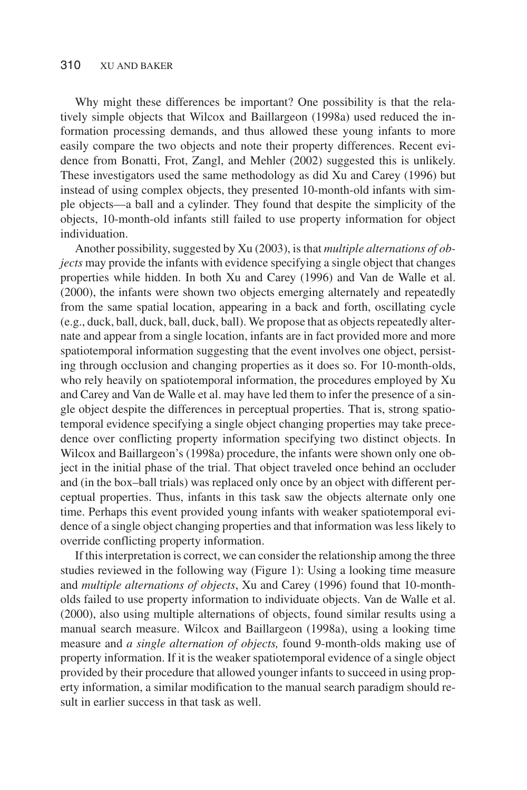## 310 XU AND BAKER

Why might these differences be important? One possibility is that the relatively simple objects that Wilcox and Baillargeon (1998a) used reduced the information processing demands, and thus allowed these young infants to more easily compare the two objects and note their property differences. Recent evidence from Bonatti, Frot, Zangl, and Mehler (2002) suggested this is unlikely. These investigators used the same methodology as did Xu and Carey (1996) but instead of using complex objects, they presented 10-month-old infants with simple objects—a ball and a cylinder. They found that despite the simplicity of the objects, 10-month-old infants still failed to use property information for object individuation.

Another possibility, suggested by Xu (2003), is that *multiple alternations of objects* may provide the infants with evidence specifying a single object that changes properties while hidden. In both Xu and Carey (1996) and Van de Walle et al. (2000), the infants were shown two objects emerging alternately and repeatedly from the same spatial location, appearing in a back and forth, oscillating cycle (e.g., duck, ball, duck, ball, duck, ball). We propose that as objects repeatedly alternate and appear from a single location, infants are in fact provided more and more spatiotemporal information suggesting that the event involves one object, persisting through occlusion and changing properties as it does so. For 10-month-olds, who rely heavily on spatiotemporal information, the procedures employed by Xu and Carey and Van de Walle et al. may have led them to infer the presence of a single object despite the differences in perceptual properties. That is, strong spatiotemporal evidence specifying a single object changing properties may take precedence over conflicting property information specifying two distinct objects. In Wilcox and Baillargeon's (1998a) procedure, the infants were shown only one object in the initial phase of the trial. That object traveled once behind an occluder and (in the box–ball trials) was replaced only once by an object with different perceptual properties. Thus, infants in this task saw the objects alternate only one time. Perhaps this event provided young infants with weaker spatiotemporal evidence of a single object changing properties and that information was less likely to override conflicting property information.

If this interpretation is correct, we can consider the relationship among the three studies reviewed in the following way (Figure 1): Using a looking time measure and *multiple alternations of objects*, Xu and Carey (1996) found that 10-montholds failed to use property information to individuate objects. Van de Walle et al. (2000), also using multiple alternations of objects, found similar results using a manual search measure. Wilcox and Baillargeon (1998a), using a looking time measure and *a single alternation of objects,* found 9-month-olds making use of property information. If it is the weaker spatiotemporal evidence of a single object provided by their procedure that allowed younger infants to succeed in using property information, a similar modification to the manual search paradigm should result in earlier success in that task as well.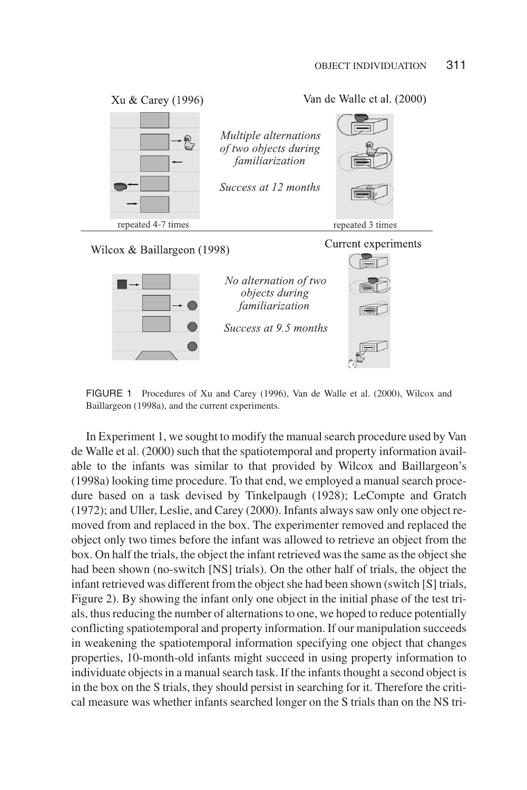

FIGURE 1 Procedures of Xu and Carey (1996), Van de Walle et al. (2000), Wilcox and Baillargeon (1998a), and the current experiments.

In Experiment 1, we sought to modify the manual search procedure used by Van de Walle et al. (2000) such that the spatiotemporal and property information available to the infants was similar to that provided by Wilcox and Baillargeon's (1998a) looking time procedure. To that end, we employed a manual search procedure based on a task devised by Tinkelpaugh (1928); LeCompte and Gratch (1972); and Uller, Leslie, and Carey (2000). Infants always saw only one object removed from and replaced in the box. The experimenter removed and replaced the object only two times before the infant was allowed to retrieve an object from the box. On half the trials, the object the infant retrieved was the same as the object she had been shown (no-switch [NS] trials). On the other half of trials, the object the infant retrieved was different from the object she had been shown (switch [S] trials, Figure 2). By showing the infant only one object in the initial phase of the test trials, thus reducing the number of alternations to one, we hoped to reduce potentially conflicting spatiotemporal and property information. If our manipulation succeeds in weakening the spatiotemporal information specifying one object that changes properties, 10-month-old infants might succeed in using property information to individuate objects in a manual search task. If the infants thought a second object is in the box on the S trials, they should persist in searching for it. Therefore the critical measure was whether infants searched longer on the S trials than on the NS tri-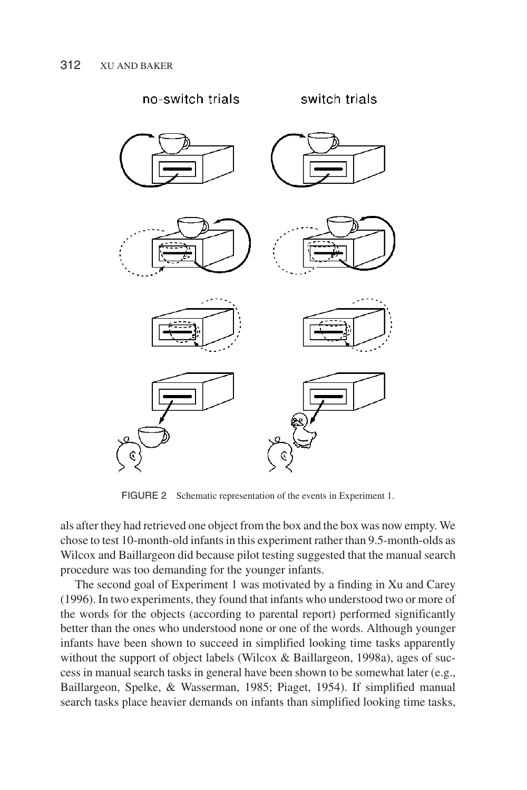

FIGURE 2 Schematic representation of the events in Experiment 1.

als after they had retrieved one object from the box and the box was now empty. We chose to test 10-month-old infants in this experiment rather than 9.5-month-olds as Wilcox and Baillargeon did because pilot testing suggested that the manual search procedure was too demanding for the younger infants.

The second goal of Experiment 1 was motivated by a finding in Xu and Carey (1996). In two experiments, they found that infants who understood two or more of the words for the objects (according to parental report) performed significantly better than the ones who understood none or one of the words. Although younger infants have been shown to succeed in simplified looking time tasks apparently without the support of object labels (Wilcox & Baillargeon, 1998a), ages of success in manual search tasks in general have been shown to be somewhat later (e.g., Baillargeon, Spelke, & Wasserman, 1985; Piaget, 1954). If simplified manual search tasks place heavier demands on infants than simplified looking time tasks,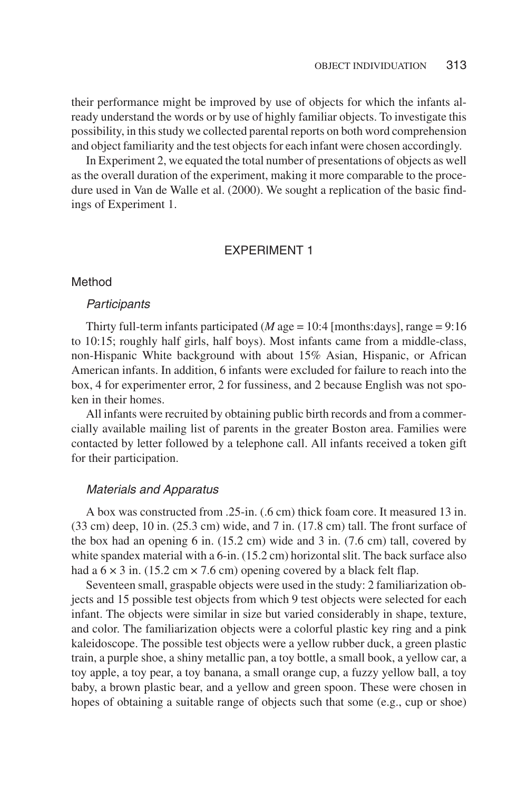their performance might be improved by use of objects for which the infants already understand the words or by use of highly familiar objects. To investigate this possibility, in this study we collected parental reports on both word comprehension and object familiarity and the test objects for each infant were chosen accordingly.

In Experiment 2, we equated the total number of presentations of objects as well as the overall duration of the experiment, making it more comparable to the procedure used in Van de Walle et al. (2000). We sought a replication of the basic findings of Experiment 1.

## EXPERIMENT 1

## Method

#### **Participants**

Thirty full-term infants participated (*M* age =  $10:4$  [months:days], range =  $9:16$ to 10:15; roughly half girls, half boys). Most infants came from a middle-class, non-Hispanic White background with about 15% Asian, Hispanic, or African American infants. In addition, 6 infants were excluded for failure to reach into the box, 4 for experimenter error, 2 for fussiness, and 2 because English was not spoken in their homes.

All infants were recruited by obtaining public birth records and from a commercially available mailing list of parents in the greater Boston area. Families were contacted by letter followed by a telephone call. All infants received a token gift for their participation.

#### Materials and Apparatus

A box was constructed from .25-in. (.6 cm) thick foam core. It measured 13 in. (33 cm) deep, 10 in. (25.3 cm) wide, and 7 in. (17.8 cm) tall. The front surface of the box had an opening 6 in. (15.2 cm) wide and 3 in. (7.6 cm) tall, covered by white spandex material with a 6-in. (15.2 cm) horizontal slit. The back surface also had a  $6 \times 3$  in. (15.2 cm  $\times$  7.6 cm) opening covered by a black felt flap.

Seventeen small, graspable objects were used in the study: 2 familiarization objects and 15 possible test objects from which 9 test objects were selected for each infant. The objects were similar in size but varied considerably in shape, texture, and color. The familiarization objects were a colorful plastic key ring and a pink kaleidoscope. The possible test objects were a yellow rubber duck, a green plastic train, a purple shoe, a shiny metallic pan, a toy bottle, a small book, a yellow car, a toy apple, a toy pear, a toy banana, a small orange cup, a fuzzy yellow ball, a toy baby, a brown plastic bear, and a yellow and green spoon. These were chosen in hopes of obtaining a suitable range of objects such that some (e.g., cup or shoe)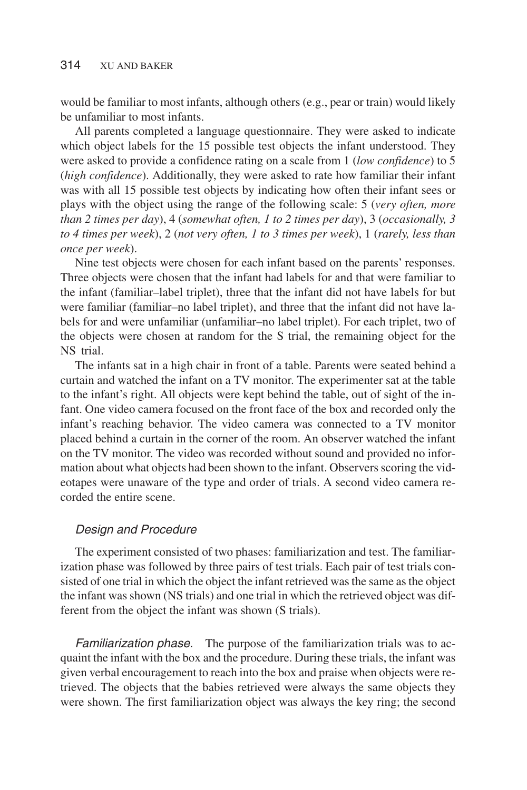would be familiar to most infants, although others (e.g., pear or train) would likely be unfamiliar to most infants.

All parents completed a language questionnaire. They were asked to indicate which object labels for the 15 possible test objects the infant understood. They were asked to provide a confidence rating on a scale from 1 (*low confidence*) to 5 (*high confidence*). Additionally, they were asked to rate how familiar their infant was with all 15 possible test objects by indicating how often their infant sees or plays with the object using the range of the following scale: 5 (*very often, more than 2 times per day*), 4 (*somewhat often, 1 to 2 times per day*), 3 (*occasionally, 3 to 4 times per week*), 2 (*not very often, 1 to 3 times per week*), 1 (*rarely, less than once per week*).

Nine test objects were chosen for each infant based on the parents' responses. Three objects were chosen that the infant had labels for and that were familiar to the infant (familiar–label triplet), three that the infant did not have labels for but were familiar (familiar–no label triplet), and three that the infant did not have labels for and were unfamiliar (unfamiliar–no label triplet). For each triplet, two of the objects were chosen at random for the S trial, the remaining object for the NS trial.

The infants sat in a high chair in front of a table. Parents were seated behind a curtain and watched the infant on a TV monitor. The experimenter sat at the table to the infant's right. All objects were kept behind the table, out of sight of the infant. One video camera focused on the front face of the box and recorded only the infant's reaching behavior. The video camera was connected to a TV monitor placed behind a curtain in the corner of the room. An observer watched the infant on the TV monitor. The video was recorded without sound and provided no information about what objects had been shown to the infant. Observers scoring the videotapes were unaware of the type and order of trials. A second video camera recorded the entire scene.

# Design and Procedure

The experiment consisted of two phases: familiarization and test. The familiarization phase was followed by three pairs of test trials. Each pair of test trials consisted of one trial in which the object the infant retrieved was the same as the object the infant was shown (NS trials) and one trial in which the retrieved object was different from the object the infant was shown (S trials).

**Familiarization phase.** The purpose of the familiarization trials was to acquaint the infant with the box and the procedure. During these trials, the infant was given verbal encouragement to reach into the box and praise when objects were retrieved. The objects that the babies retrieved were always the same objects they were shown. The first familiarization object was always the key ring; the second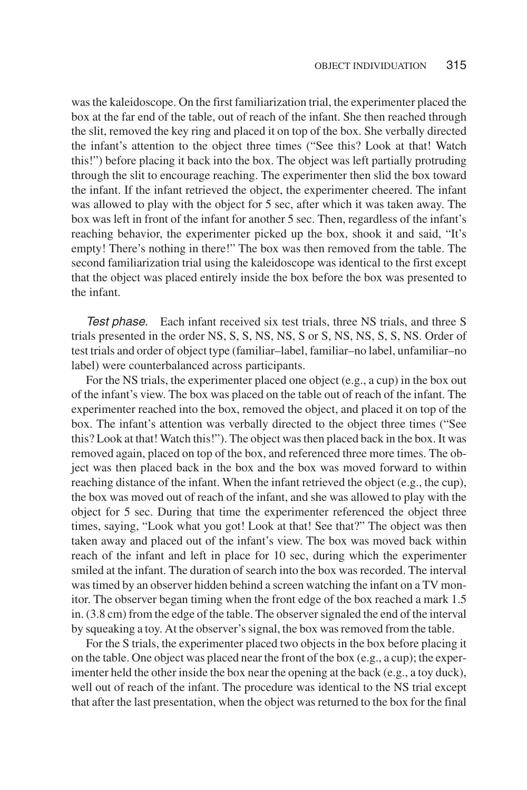was the kaleidoscope. On the first familiarization trial, the experimenter placed the box at the far end of the table, out of reach of the infant. She then reached through the slit, removed the key ring and placed it on top of the box. She verbally directed the infant's attention to the object three times ("See this? Look at that! Watch this!") before placing it back into the box. The object was left partially protruding through the slit to encourage reaching. The experimenter then slid the box toward the infant. If the infant retrieved the object, the experimenter cheered. The infant was allowed to play with the object for 5 sec, after which it was taken away. The box was left in front of the infant for another 5 sec. Then, regardless of the infant's reaching behavior, the experimenter picked up the box, shook it and said, "It's empty! There's nothing in there!" The box was then removed from the table. The second familiarization trial using the kaleidoscope was identical to the first except that the object was placed entirely inside the box before the box was presented to the infant.

Test phase. Each infant received six test trials, three NS trials, and three S trials presented in the order NS, S, S, NS, NS, S or S, NS, NS, S, S, NS. Order of test trials and order of object type (familiar–label, familiar–no label, unfamiliar–no label) were counterbalanced across participants.

For the NS trials, the experimenter placed one object (e.g., a cup) in the box out of the infant's view. The box was placed on the table out of reach of the infant. The experimenter reached into the box, removed the object, and placed it on top of the box. The infant's attention was verbally directed to the object three times ("See this? Look at that! Watch this!"). The object was then placed back in the box. It was removed again, placed on top of the box, and referenced three more times. The object was then placed back in the box and the box was moved forward to within reaching distance of the infant. When the infant retrieved the object (e.g., the cup), the box was moved out of reach of the infant, and she was allowed to play with the object for 5 sec. During that time the experimenter referenced the object three times, saying, "Look what you got! Look at that! See that?" The object was then taken away and placed out of the infant's view. The box was moved back within reach of the infant and left in place for 10 sec, during which the experimenter smiled at the infant. The duration of search into the box was recorded. The interval was timed by an observer hidden behind a screen watching the infant on a TV monitor. The observer began timing when the front edge of the box reached a mark 1.5 in. (3.8 cm) from the edge of the table. The observer signaled the end of the interval by squeaking a toy. At the observer's signal, the box was removed from the table.

For the S trials, the experimenter placed two objects in the box before placing it on the table. One object was placed near the front of the box (e.g., a cup); the experimenter held the other inside the box near the opening at the back (e.g., a toy duck), well out of reach of the infant. The procedure was identical to the NS trial except that after the last presentation, when the object was returned to the box for the final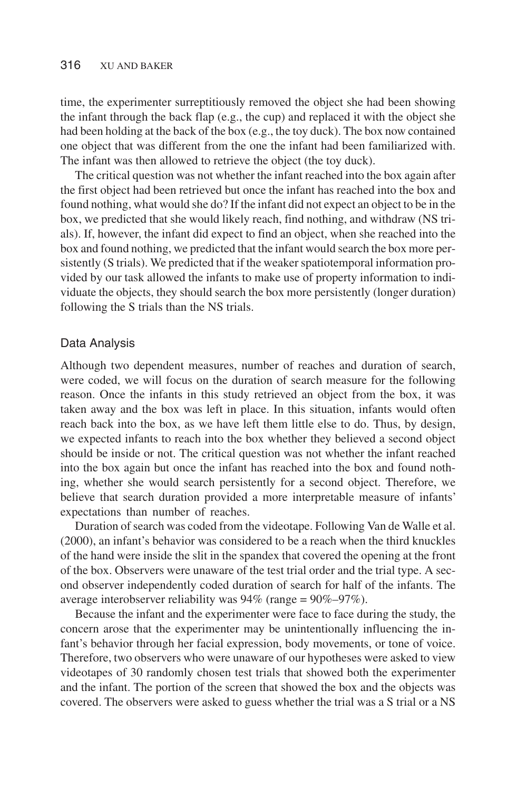# 316 XU AND BAKER

time, the experimenter surreptitiously removed the object she had been showing the infant through the back flap (e.g., the cup) and replaced it with the object she had been holding at the back of the box (e.g., the toy duck). The box now contained one object that was different from the one the infant had been familiarized with. The infant was then allowed to retrieve the object (the toy duck).

The critical question was not whether the infant reached into the box again after the first object had been retrieved but once the infant has reached into the box and found nothing, what would she do? If the infant did not expect an object to be in the box, we predicted that she would likely reach, find nothing, and withdraw (NS trials). If, however, the infant did expect to find an object, when she reached into the box and found nothing, we predicted that the infant would search the box more persistently (S trials). We predicted that if the weaker spatiotemporal information provided by our task allowed the infants to make use of property information to individuate the objects, they should search the box more persistently (longer duration) following the S trials than the NS trials.

## Data Analysis

Although two dependent measures, number of reaches and duration of search, were coded, we will focus on the duration of search measure for the following reason. Once the infants in this study retrieved an object from the box, it was taken away and the box was left in place. In this situation, infants would often reach back into the box, as we have left them little else to do. Thus, by design, we expected infants to reach into the box whether they believed a second object should be inside or not. The critical question was not whether the infant reached into the box again but once the infant has reached into the box and found nothing, whether she would search persistently for a second object. Therefore, we believe that search duration provided a more interpretable measure of infants' expectations than number of reaches.

Duration of search was coded from the videotape. Following Van de Walle et al. (2000), an infant's behavior was considered to be a reach when the third knuckles of the hand were inside the slit in the spandex that covered the opening at the front of the box. Observers were unaware of the test trial order and the trial type. A second observer independently coded duration of search for half of the infants. The average interobserver reliability was 94% (range = 90%–97%).

Because the infant and the experimenter were face to face during the study, the concern arose that the experimenter may be unintentionally influencing the infant's behavior through her facial expression, body movements, or tone of voice. Therefore, two observers who were unaware of our hypotheses were asked to view videotapes of 30 randomly chosen test trials that showed both the experimenter and the infant. The portion of the screen that showed the box and the objects was covered. The observers were asked to guess whether the trial was a S trial or a NS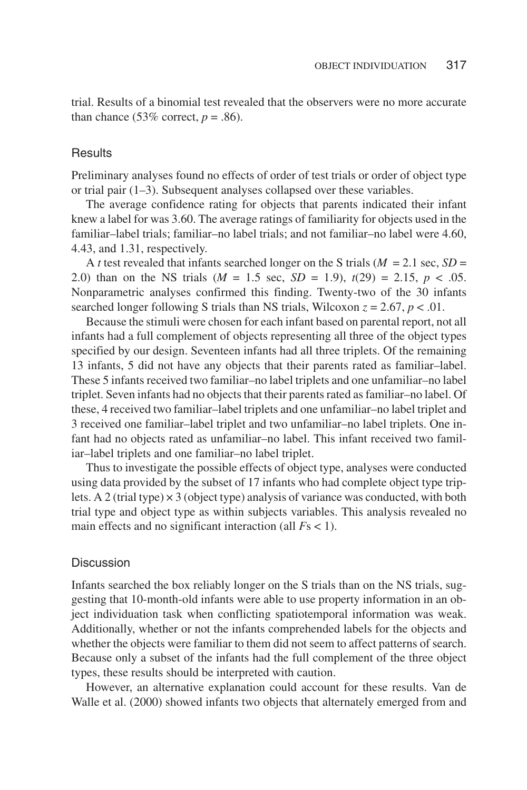trial. Results of a binomial test revealed that the observers were no more accurate than chance (53% correct,  $p = .86$ ).

## **Results**

Preliminary analyses found no effects of order of test trials or order of object type or trial pair (1–3). Subsequent analyses collapsed over these variables.

The average confidence rating for objects that parents indicated their infant knew a label for was 3.60. The average ratings of familiarity for objects used in the familiar–label trials; familiar–no label trials; and not familiar–no label were 4.60, 4.43, and 1.31, respectively.

A *t* test revealed that infants searched longer on the S trials ( $M = 2.1$  sec,  $SD =$ 2.0) than on the NS trials (*M* = 1.5 sec, *SD* = 1.9), *t*(29) = 2.15, *p* < .05. Nonparametric analyses confirmed this finding. Twenty-two of the 30 infants searched longer following S trials than NS trials, Wilcoxon  $z = 2.67$ ,  $p < .01$ .

Because the stimuli were chosen for each infant based on parental report, not all infants had a full complement of objects representing all three of the object types specified by our design. Seventeen infants had all three triplets. Of the remaining 13 infants, 5 did not have any objects that their parents rated as familiar–label. These 5 infants received two familiar–no label triplets and one unfamiliar–no label triplet. Seven infants had no objects that their parents rated as familiar–no label. Of these, 4 received two familiar–label triplets and one unfamiliar–no label triplet and 3 received one familiar–label triplet and two unfamiliar–no label triplets. One infant had no objects rated as unfamiliar–no label. This infant received two familiar–label triplets and one familiar–no label triplet.

Thus to investigate the possible effects of object type, analyses were conducted using data provided by the subset of 17 infants who had complete object type triplets. A 2 (trial type) × 3 (object type) analysis of variance was conducted, with both trial type and object type as within subjects variables. This analysis revealed no main effects and no significant interaction (all *F*s < 1).

## Discussion

Infants searched the box reliably longer on the S trials than on the NS trials, suggesting that 10-month-old infants were able to use property information in an object individuation task when conflicting spatiotemporal information was weak. Additionally, whether or not the infants comprehended labels for the objects and whether the objects were familiar to them did not seem to affect patterns of search. Because only a subset of the infants had the full complement of the three object types, these results should be interpreted with caution.

However, an alternative explanation could account for these results. Van de Walle et al. (2000) showed infants two objects that alternately emerged from and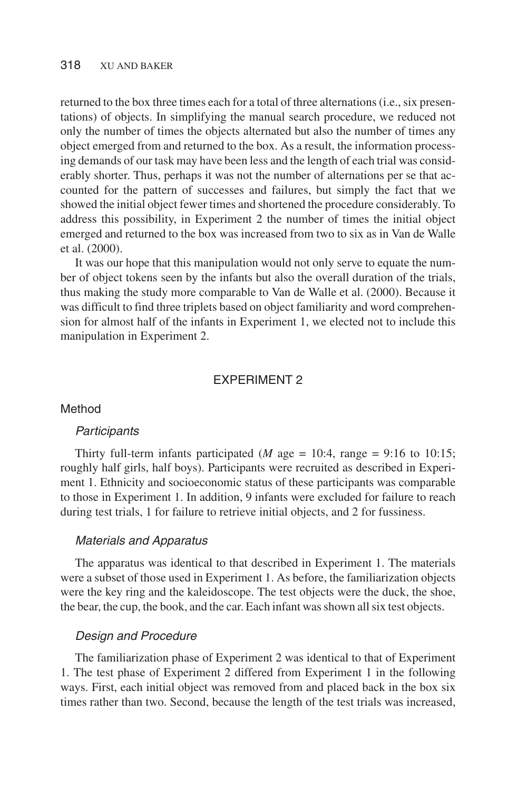# 318 XU AND BAKER

returned to the box three times each for a total of three alternations (i.e., six presentations) of objects. In simplifying the manual search procedure, we reduced not only the number of times the objects alternated but also the number of times any object emerged from and returned to the box. As a result, the information processing demands of our task may have been less and the length of each trial was considerably shorter. Thus, perhaps it was not the number of alternations per se that accounted for the pattern of successes and failures, but simply the fact that we showed the initial object fewer times and shortened the procedure considerably. To address this possibility, in Experiment 2 the number of times the initial object emerged and returned to the box was increased from two to six as in Van de Walle et al. (2000).

It was our hope that this manipulation would not only serve to equate the number of object tokens seen by the infants but also the overall duration of the trials, thus making the study more comparable to Van de Walle et al. (2000). Because it was difficult to find three triplets based on object familiarity and word comprehension for almost half of the infants in Experiment 1, we elected not to include this manipulation in Experiment 2.

# EXPERIMENT 2

## Method

## **Participants**

Thirty full-term infants participated (*M* age =  $10:4$ , range =  $9:16$  to  $10:15$ ; roughly half girls, half boys). Participants were recruited as described in Experiment 1. Ethnicity and socioeconomic status of these participants was comparable to those in Experiment 1. In addition, 9 infants were excluded for failure to reach during test trials, 1 for failure to retrieve initial objects, and 2 for fussiness.

## Materials and Apparatus

The apparatus was identical to that described in Experiment 1. The materials were a subset of those used in Experiment 1. As before, the familiarization objects were the key ring and the kaleidoscope. The test objects were the duck, the shoe, the bear, the cup, the book, and the car. Each infant was shown all six test objects.

## Design and Procedure

The familiarization phase of Experiment 2 was identical to that of Experiment 1. The test phase of Experiment 2 differed from Experiment 1 in the following ways. First, each initial object was removed from and placed back in the box six times rather than two. Second, because the length of the test trials was increased,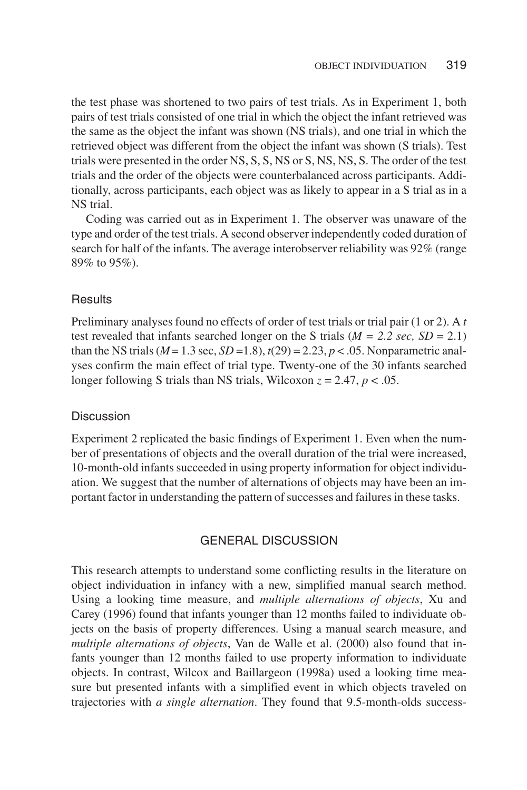the test phase was shortened to two pairs of test trials. As in Experiment 1, both pairs of test trials consisted of one trial in which the object the infant retrieved was the same as the object the infant was shown (NS trials), and one trial in which the retrieved object was different from the object the infant was shown (S trials). Test trials were presented in the order NS, S, S, NS or S, NS, NS, S. The order of the test trials and the order of the objects were counterbalanced across participants. Additionally, across participants, each object was as likely to appear in a S trial as in a NS trial.

Coding was carried out as in Experiment 1. The observer was unaware of the type and order of the test trials. A second observer independently coded duration of search for half of the infants. The average interobserver reliability was 92% (range 89% to 95%).

# **Results**

Preliminary analyses found no effects of order of test trials or trial pair (1 or 2). A *t* test revealed that infants searched longer on the S trials ( $M = 2.2$  sec,  $SD = 2.1$ ) than the NS trials ( $M = 1.3$  sec,  $SD = 1.8$ ),  $t(29) = 2.23$ ,  $p < .05$ . Nonparametric analyses confirm the main effect of trial type. Twenty-one of the 30 infants searched longer following S trials than NS trials, Wilcoxon  $z = 2.47$ ,  $p < .05$ .

## **Discussion**

Experiment 2 replicated the basic findings of Experiment 1. Even when the number of presentations of objects and the overall duration of the trial were increased, 10-month-old infants succeeded in using property information for object individuation. We suggest that the number of alternations of objects may have been an important factor in understanding the pattern of successes and failures in these tasks.

# GENERAL DISCUSSION

This research attempts to understand some conflicting results in the literature on object individuation in infancy with a new, simplified manual search method. Using a looking time measure, and *multiple alternations of objects*, Xu and Carey (1996) found that infants younger than 12 months failed to individuate objects on the basis of property differences. Using a manual search measure, and *multiple alternations of objects*, Van de Walle et al. (2000) also found that infants younger than 12 months failed to use property information to individuate objects. In contrast, Wilcox and Baillargeon (1998a) used a looking time measure but presented infants with a simplified event in which objects traveled on trajectories with *a single alternation*. They found that 9.5-month-olds success-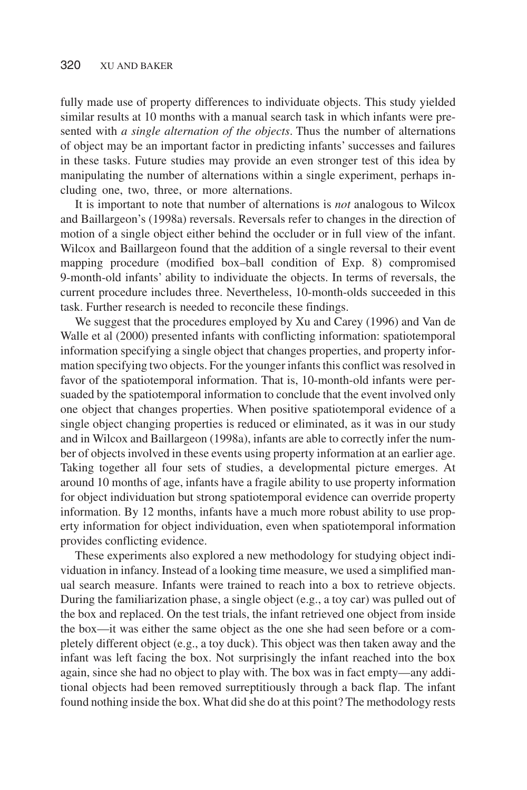fully made use of property differences to individuate objects. This study yielded similar results at 10 months with a manual search task in which infants were presented with *a single alternation of the objects*. Thus the number of alternations of object may be an important factor in predicting infants' successes and failures in these tasks. Future studies may provide an even stronger test of this idea by manipulating the number of alternations within a single experiment, perhaps including one, two, three, or more alternations.

It is important to note that number of alternations is *not* analogous to Wilcox and Baillargeon's (1998a) reversals. Reversals refer to changes in the direction of motion of a single object either behind the occluder or in full view of the infant. Wilcox and Baillargeon found that the addition of a single reversal to their event mapping procedure (modified box–ball condition of Exp. 8) compromised 9-month-old infants' ability to individuate the objects. In terms of reversals, the current procedure includes three. Nevertheless, 10-month-olds succeeded in this task. Further research is needed to reconcile these findings.

We suggest that the procedures employed by Xu and Carey (1996) and Van de Walle et al (2000) presented infants with conflicting information: spatiotemporal information specifying a single object that changes properties, and property information specifying two objects. For the younger infants this conflict was resolved in favor of the spatiotemporal information. That is, 10-month-old infants were persuaded by the spatiotemporal information to conclude that the event involved only one object that changes properties. When positive spatiotemporal evidence of a single object changing properties is reduced or eliminated, as it was in our study and in Wilcox and Baillargeon (1998a), infants are able to correctly infer the number of objects involved in these events using property information at an earlier age. Taking together all four sets of studies, a developmental picture emerges. At around 10 months of age, infants have a fragile ability to use property information for object individuation but strong spatiotemporal evidence can override property information. By 12 months, infants have a much more robust ability to use property information for object individuation, even when spatiotemporal information provides conflicting evidence.

These experiments also explored a new methodology for studying object individuation in infancy. Instead of a looking time measure, we used a simplified manual search measure. Infants were trained to reach into a box to retrieve objects. During the familiarization phase, a single object (e.g., a toy car) was pulled out of the box and replaced. On the test trials, the infant retrieved one object from inside the box—it was either the same object as the one she had seen before or a completely different object (e.g., a toy duck). This object was then taken away and the infant was left facing the box. Not surprisingly the infant reached into the box again, since she had no object to play with. The box was in fact empty—any additional objects had been removed surreptitiously through a back flap. The infant found nothing inside the box. What did she do at this point? The methodology rests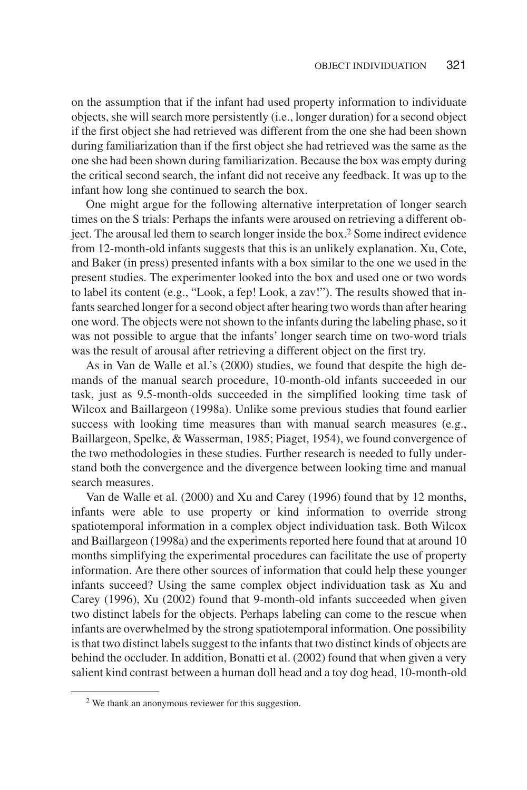on the assumption that if the infant had used property information to individuate objects, she will search more persistently (i.e., longer duration) for a second object if the first object she had retrieved was different from the one she had been shown during familiarization than if the first object she had retrieved was the same as the one she had been shown during familiarization. Because the box was empty during the critical second search, the infant did not receive any feedback. It was up to the infant how long she continued to search the box.

One might argue for the following alternative interpretation of longer search times on the S trials: Perhaps the infants were aroused on retrieving a different object. The arousal led them to search longer inside the box.2 Some indirect evidence from 12-month-old infants suggests that this is an unlikely explanation. Xu, Cote, and Baker (in press) presented infants with a box similar to the one we used in the present studies. The experimenter looked into the box and used one or two words to label its content (e.g., "Look, a fep! Look, a zav!"). The results showed that infants searched longer for a second object after hearing two words than after hearing one word. The objects were not shown to the infants during the labeling phase, so it was not possible to argue that the infants' longer search time on two-word trials was the result of arousal after retrieving a different object on the first try.

As in Van de Walle et al.'s (2000) studies, we found that despite the high demands of the manual search procedure, 10-month-old infants succeeded in our task, just as 9.5-month-olds succeeded in the simplified looking time task of Wilcox and Baillargeon (1998a). Unlike some previous studies that found earlier success with looking time measures than with manual search measures (e.g., Baillargeon, Spelke, & Wasserman, 1985; Piaget, 1954), we found convergence of the two methodologies in these studies. Further research is needed to fully understand both the convergence and the divergence between looking time and manual search measures.

Van de Walle et al. (2000) and Xu and Carey (1996) found that by 12 months, infants were able to use property or kind information to override strong spatiotemporal information in a complex object individuation task. Both Wilcox and Baillargeon (1998a) and the experiments reported here found that at around 10 months simplifying the experimental procedures can facilitate the use of property information. Are there other sources of information that could help these younger infants succeed? Using the same complex object individuation task as Xu and Carey (1996), Xu (2002) found that 9-month-old infants succeeded when given two distinct labels for the objects. Perhaps labeling can come to the rescue when infants are overwhelmed by the strong spatiotemporal information. One possibility is that two distinct labels suggest to the infants that two distinct kinds of objects are behind the occluder. In addition, Bonatti et al. (2002) found that when given a very salient kind contrast between a human doll head and a toy dog head, 10-month-old

<sup>2</sup> We thank an anonymous reviewer for this suggestion.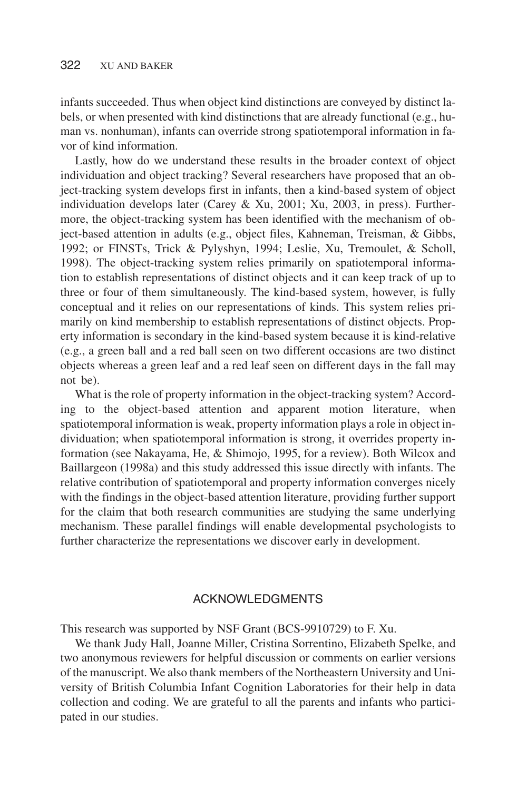infants succeeded. Thus when object kind distinctions are conveyed by distinct labels, or when presented with kind distinctions that are already functional (e.g., human vs. nonhuman), infants can override strong spatiotemporal information in favor of kind information.

Lastly, how do we understand these results in the broader context of object individuation and object tracking? Several researchers have proposed that an object-tracking system develops first in infants, then a kind-based system of object individuation develops later (Carey & Xu, 2001; Xu, 2003, in press). Furthermore, the object-tracking system has been identified with the mechanism of object-based attention in adults (e.g., object files, Kahneman, Treisman, & Gibbs, 1992; or FINSTs, Trick & Pylyshyn, 1994; Leslie, Xu, Tremoulet, & Scholl, 1998). The object-tracking system relies primarily on spatiotemporal information to establish representations of distinct objects and it can keep track of up to three or four of them simultaneously. The kind-based system, however, is fully conceptual and it relies on our representations of kinds. This system relies primarily on kind membership to establish representations of distinct objects. Property information is secondary in the kind-based system because it is kind-relative (e.g., a green ball and a red ball seen on two different occasions are two distinct objects whereas a green leaf and a red leaf seen on different days in the fall may not be).

What is the role of property information in the object-tracking system? According to the object-based attention and apparent motion literature, when spatiotemporal information is weak, property information plays a role in object individuation; when spatiotemporal information is strong, it overrides property information (see Nakayama, He, & Shimojo, 1995, for a review). Both Wilcox and Baillargeon (1998a) and this study addressed this issue directly with infants. The relative contribution of spatiotemporal and property information converges nicely with the findings in the object-based attention literature, providing further support for the claim that both research communities are studying the same underlying mechanism. These parallel findings will enable developmental psychologists to further characterize the representations we discover early in development.

# ACKNOWLEDGMENTS

This research was supported by NSF Grant (BCS-9910729) to F. Xu.

We thank Judy Hall, Joanne Miller, Cristina Sorrentino, Elizabeth Spelke, and two anonymous reviewers for helpful discussion or comments on earlier versions of the manuscript. We also thank members of the Northeastern University and University of British Columbia Infant Cognition Laboratories for their help in data collection and coding. We are grateful to all the parents and infants who participated in our studies.